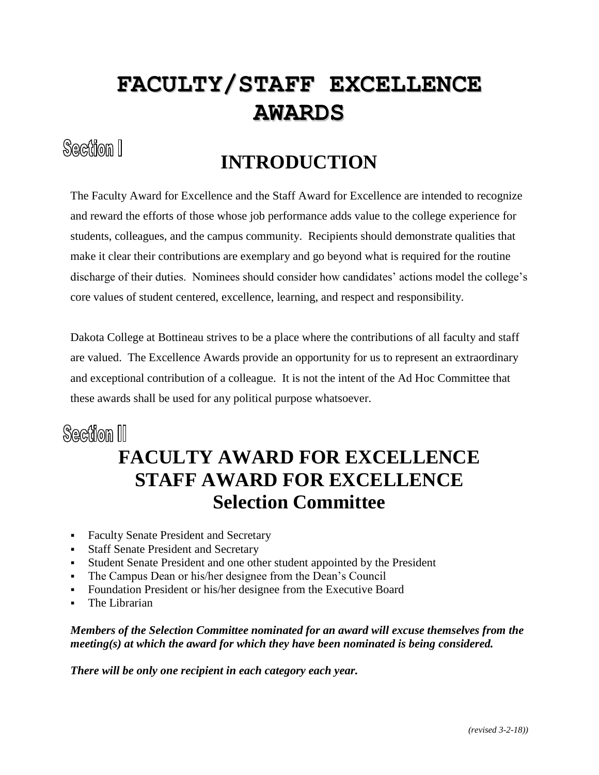# **FACULTY/STAFF EXCELLENCE AWARDS**

#### Section I

## **INTRODUCTION**

The Faculty Award for Excellence and the Staff Award for Excellence are intended to recognize and reward the efforts of those whose job performance adds value to the college experience for students, colleagues, and the campus community. Recipients should demonstrate qualities that make it clear their contributions are exemplary and go beyond what is required for the routine discharge of their duties. Nominees should consider how candidates' actions model the college's core values of student centered, excellence, learning, and respect and responsibility.

Dakota College at Bottineau strives to be a place where the contributions of all faculty and staff are valued. The Excellence Awards provide an opportunity for us to represent an extraordinary and exceptional contribution of a colleague. It is not the intent of the Ad Hoc Committee that these awards shall be used for any political purpose whatsoever.

#### Section III

#### **FACULTY AWARD FOR EXCELLENCE STAFF AWARD FOR EXCELLENCE Selection Committee**

- Faculty Senate President and Secretary
- Staff Senate President and Secretary
- Student Senate President and one other student appointed by the President
- The Campus Dean or his/her designee from the Dean's Council
- Foundation President or his/her designee from the Executive Board
- The Librarian

*Members of the Selection Committee nominated for an award will excuse themselves from the meeting(s) at which the award for which they have been nominated is being considered.*

*There will be only one recipient in each category each year.*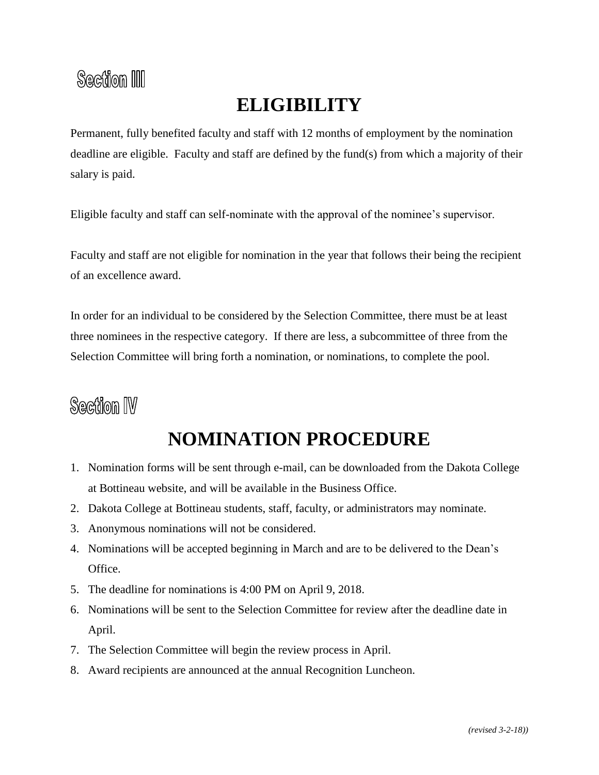#### Section III

#### **ELIGIBILITY**

Permanent, fully benefited faculty and staff with 12 months of employment by the nomination deadline are eligible. Faculty and staff are defined by the fund(s) from which a majority of their salary is paid.

Eligible faculty and staff can self-nominate with the approval of the nominee's supervisor.

Faculty and staff are not eligible for nomination in the year that follows their being the recipient of an excellence award.

In order for an individual to be considered by the Selection Committee, there must be at least three nominees in the respective category. If there are less, a subcommittee of three from the Selection Committee will bring forth a nomination, or nominations, to complete the pool.

## **Section IV**

## **NOMINATION PROCEDURE**

- 1. Nomination forms will be sent through e-mail, can be downloaded from the Dakota College at Bottineau website, and will be available in the Business Office.
- 2. Dakota College at Bottineau students, staff, faculty, or administrators may nominate.
- 3. Anonymous nominations will not be considered.
- 4. Nominations will be accepted beginning in March and are to be delivered to the Dean's Office.
- 5. The deadline for nominations is 4:00 PM on April 9, 2018.
- 6. Nominations will be sent to the Selection Committee for review after the deadline date in April.
- 7. The Selection Committee will begin the review process in April.
- 8. Award recipients are announced at the annual Recognition Luncheon.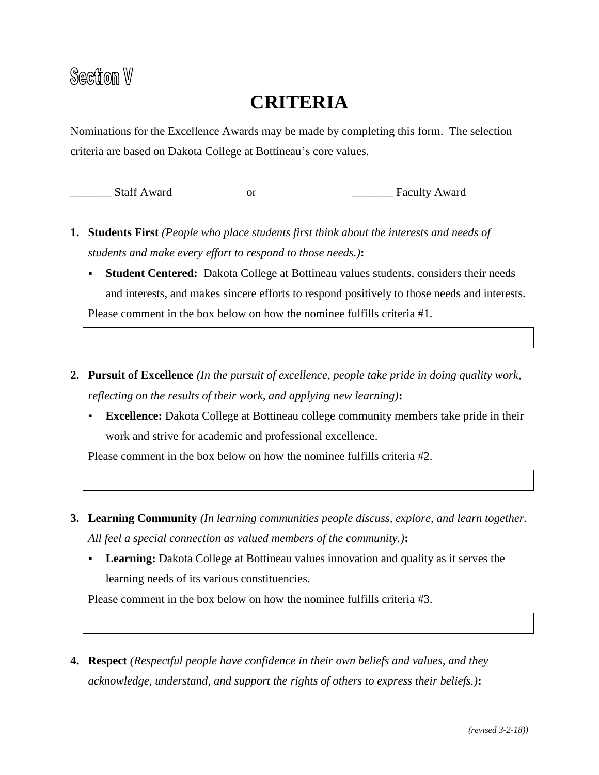#### **CRITERIA**

Nominations for the Excellence Awards may be made by completing this form. The selection criteria are based on Dakota College at Bottineau's core values.

\_\_\_\_\_\_\_ Staff Award or \_\_\_\_\_\_\_ Faculty Award

- **1. Students First** *(People who place students first think about the interests and needs of students and make every effort to respond to those needs.)***:**
	- **Student Centered:** Dakota College at Bottineau values students, considers their needs and interests, and makes sincere efforts to respond positively to those needs and interests. Please comment in the box below on how the nominee fulfills criteria #1.
- **2. Pursuit of Excellence** *(In the pursuit of excellence, people take pride in doing quality work, reflecting on the results of their work, and applying new learning)***:**
	- **Excellence:** Dakota College at Bottineau college community members take pride in their work and strive for academic and professional excellence.

Please comment in the box below on how the nominee fulfills criteria #2.

- **3. Learning Community** *(In learning communities people discuss, explore, and learn together. All feel a special connection as valued members of the community.)***:**
	- **Learning:** Dakota College at Bottineau values innovation and quality as it serves the learning needs of its various constituencies.

Please comment in the box below on how the nominee fulfills criteria #3.

**4. Respect** *(Respectful people have confidence in their own beliefs and values, and they acknowledge, understand, and support the rights of others to express their beliefs.)***:**